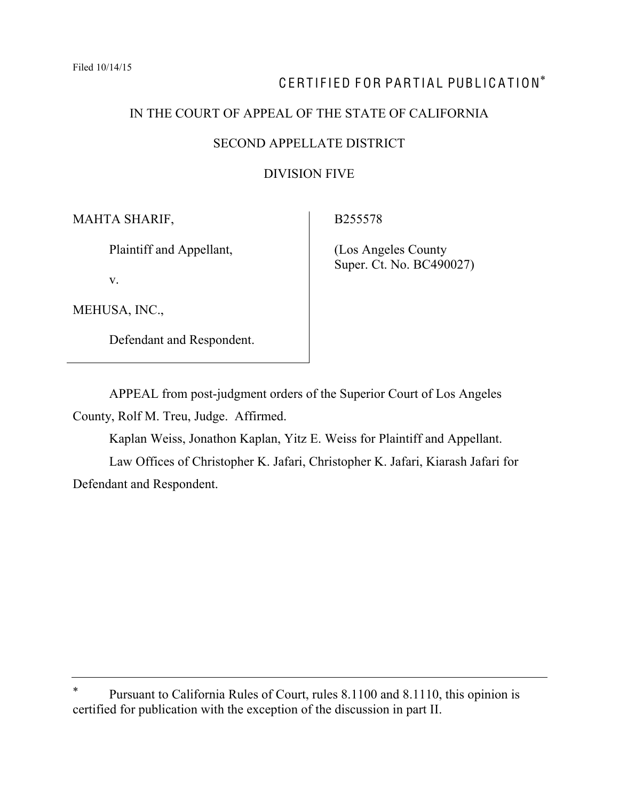# CERTIFIED FOR PARTIAL PUBLICATION\*

# IN THE COURT OF APPEAL OF THE STATE OF CALIFORNIA

#### SECOND APPELLATE DISTRICT

# DIVISION FIVE

MAHTA SHARIF,

Plaintiff and Appellant,

v.

(Los Angeles County

B255578

MEHUSA, INC.,

Defendant and Respondent.

Super. Ct. No. BC490027)

APPEAL from post-judgment orders of the Superior Court of Los Angeles County, Rolf M. Treu, Judge. Affirmed.

Kaplan Weiss, Jonathon Kaplan, Yitz E. Weiss for Plaintiff and Appellant. Law Offices of Christopher K. Jafari, Christopher K. Jafari, Kiarash Jafari for Defendant and Respondent.

Pursuant to California Rules of Court, rules 8.1100 and 8.1110, this opinion is certified for publication with the exception of the discussion in part II.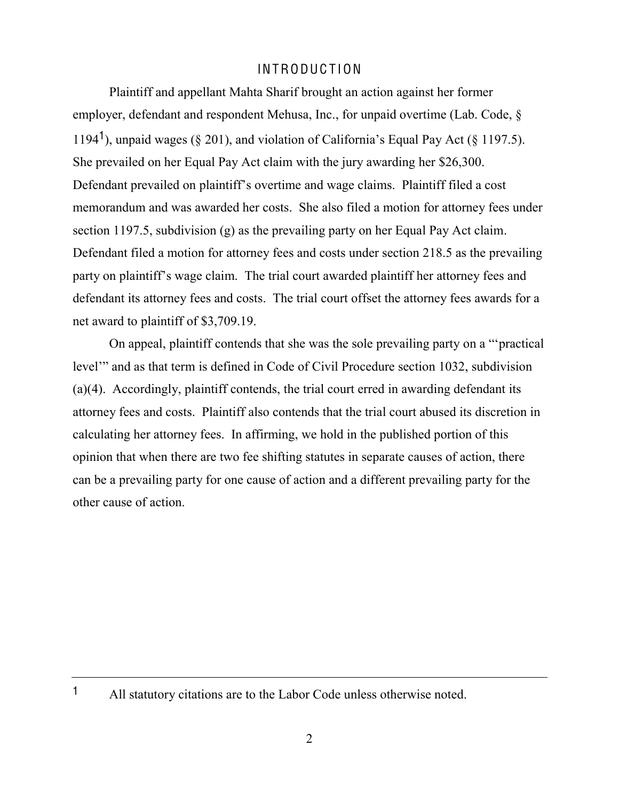# INTRODUC T ION

Plaintiff and appellant Mahta Sharif brought an action against her former employer, defendant and respondent Mehusa, Inc., for unpaid overtime (Lab. Code, § 1194<sup>1</sup>), unpaid wages (§ 201), and violation of California's Equal Pay Act (§ 1197.5). She prevailed on her Equal Pay Act claim with the jury awarding her \$26,300. Defendant prevailed on plaintiff's overtime and wage claims. Plaintiff filed a cost memorandum and was awarded her costs. She also filed a motion for attorney fees under section 1197.5, subdivision (g) as the prevailing party on her Equal Pay Act claim. Defendant filed a motion for attorney fees and costs under section 218.5 as the prevailing party on plaintiff's wage claim. The trial court awarded plaintiff her attorney fees and defendant its attorney fees and costs. The trial court offset the attorney fees awards for a net award to plaintiff of \$3,709.19.

On appeal, plaintiff contends that she was the sole prevailing party on a "practical" level" and as that term is defined in Code of Civil Procedure section 1032, subdivision (a)(4). Accordingly, plaintiff contends, the trial court erred in awarding defendant its attorney fees and costs. Plaintiff also contends that the trial court abused its discretion in calculating her attorney fees. In affirming, we hold in the published portion of this opinion that when there are two fee shifting statutes in separate causes of action, there can be a prevailing party for one cause of action and a different prevailing party for the other cause of action.

<sup>1</sup> All statutory citations are to the Labor Code unless otherwise noted.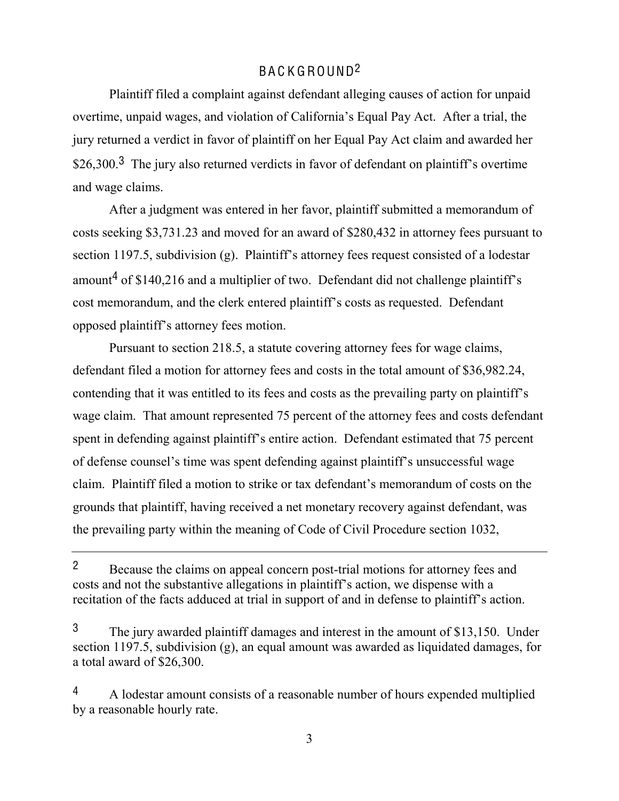# BA C K GROUND2

Plaintiff filed a complaint against defendant alleging causes of action for unpaid overtime, unpaid wages, and violation of California's Equal Pay Act. After a trial, the jury returned a verdict in favor of plaintiff on her Equal Pay Act claim and awarded her  $$26,300<sup>3</sup>$  The jury also returned verdicts in favor of defendant on plaintiff's overtime and wage claims.

After a judgment was entered in her favor, plaintiff submitted a memorandum of costs seeking \$3,731.23 and moved for an award of \$280,432 in attorney fees pursuant to section 1197.5, subdivision (g). Plaintiff's attorney fees request consisted of a lodestar amount<sup>4</sup> of \$140,216 and a multiplier of two. Defendant did not challenge plaintiff's cost memorandum, and the clerk entered plaintiff's costs as requested. Defendant opposed plaintiff's attorney fees motion.

Pursuant to section 218.5, a statute covering attorney fees for wage claims, defendant filed a motion for attorney fees and costs in the total amount of \$36,982.24, contending that it was entitled to its fees and costs as the prevailing party on plaintiff's wage claim. That amount represented 75 percent of the attorney fees and costs defendant spent in defending against plaintiff's entire action. Defendant estimated that 75 percent of defense counsel's time was spent defending against plaintiff's unsuccessful wage claim. Plaintiff filed a motion to strike or tax defendant's memorandum of costs on the grounds that plaintiff, having received a net monetary recovery against defendant, was the prevailing party within the meaning of Code of Civil Procedure section 1032,

<sup>&</sup>lt;sup>2</sup> Because the claims on appeal concern post-trial motions for attorney fees and costs and not the substantive allegations in plaintiff's action, we dispense with a recitation of the facts adduced at trial in support of and in defense to plaintiff's action.

<sup>3</sup> The jury awarded plaintiff damages and interest in the amount of \$13,150. Under section 1197.5, subdivision (g), an equal amount was awarded as liquidated damages, for a total award of \$26,300.

<sup>4</sup> A lodestar amount consists of a reasonable number of hours expended multiplied by a reasonable hourly rate.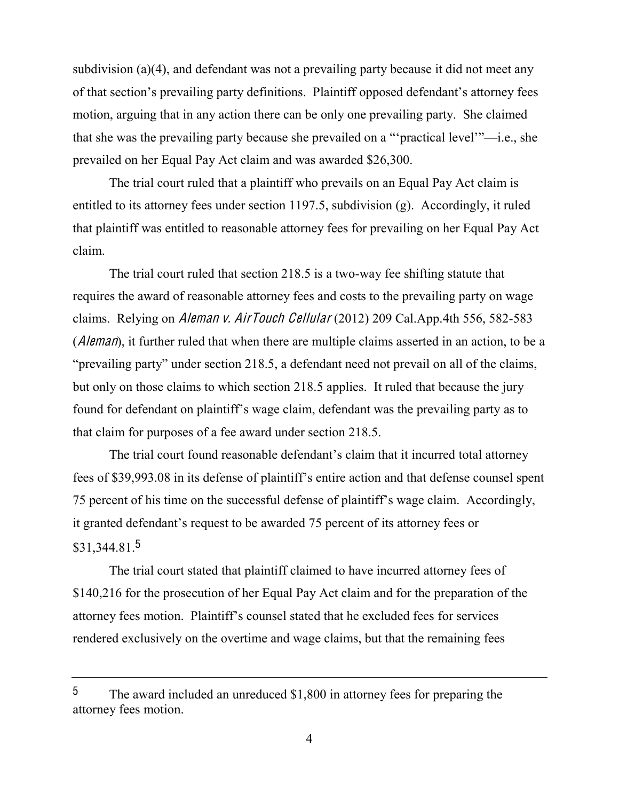subdivision (a)(4), and defendant was not a prevailing party because it did not meet any of that section's prevailing party definitions. Plaintiff opposed defendant's attorney fees motion, arguing that in any action there can be only one prevailing party. She claimed that she was the prevailing party because she prevailed on a ""practical level"—i.e., she prevailed on her Equal Pay Act claim and was awarded \$26,300.

The trial court ruled that a plaintiff who prevails on an Equal Pay Act claim is entitled to its attorney fees under section 1197.5, subdivision (g). Accordingly, it ruled that plaintiff was entitled to reasonable attorney fees for prevailing on her Equal Pay Act claim.

The trial court ruled that section 218.5 is a two-way fee shifting statute that requires the award of reasonable attorney fees and costs to the prevailing party on wage claims. Relying on Aleman <sup>v</sup>. AirTouch Cellular (2012) 209 Cal.App.4th 556, 582-583 (*Aleman*), it further ruled that when there are multiple claims asserted in an action, to be a "prevailing party" under section 218.5, a defendant need not prevail on all of the claims, but only on those claims to which section 218.5 applies. It ruled that because the jury found for defendant on plaintiff's wage claim, defendant was the prevailing party as to that claim for purposes of a fee award under section 218.5.

The trial court found reasonable defendant's claim that it incurred total attorney fees of \$39,993.08 in its defense of plaintiff's entire action and that defense counsel spent 75 percent of his time on the successful defense of plaintiff's wage claim. Accordingly, it granted defendant's request to be awarded 75 percent of its attorney fees or  $$31,344.81<sup>5</sup>$ 

The trial court stated that plaintiff claimed to have incurred attorney fees of \$140,216 for the prosecution of her Equal Pay Act claim and for the preparation of the attorney fees motion. Plaintiff's counsel stated that he excluded fees for services rendered exclusively on the overtime and wage claims, but that the remaining fees

<sup>5</sup> The award included an unreduced \$1,800 in attorney fees for preparing the attorney fees motion.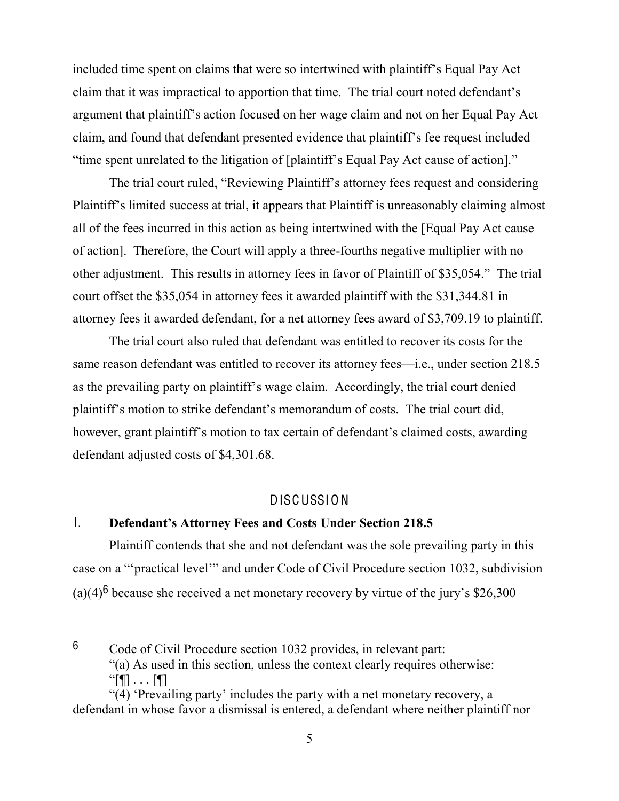included time spent on claims that were so intertwined with plaintiff's Equal Pay Act claim that it was impractical to apportion that time. The trial court noted defendant's argument that plaintiff's action focused on her wage claim and not on her Equal Pay Act claim, and found that defendant presented evidence that plaintiff's fee request included "time spent unrelated to the litigation of [plaintiff's Equal Pay Act cause of action]."

The trial court ruled, "Reviewing Plaintiff's attorney fees request and considering Plaintiff's limited success at trial, it appears that Plaintiff is unreasonably claiming almost all of the fees incurred in this action as being intertwined with the [Equal Pay Act cause of action]. Therefore, the Court will apply a three-fourths negative multiplier with no other adjustment. This results in attorney fees in favor of Plaintiff of \$35,054." The trial court offset the \$35,054 in attorney fees it awarded plaintiff with the \$31,344.81 in attorney fees it awarded defendant, for a net attorney fees award of \$3,709.19 to plaintiff.

The trial court also ruled that defendant was entitled to recover its costs for the same reason defendant was entitled to recover its attorney fees—i.e., under section 218.5 as the prevailing party on plaintiff's wage claim. Accordingly, the trial court denied plaintiff's motion to strike defendant's memorandum of costs. The trial court did, however, grant plaintiff's motion to tax certain of defendant's claimed costs, awarding defendant adjusted costs of \$4,301.68.

#### DISCUSSION

# **1. Defendant's Attorney Fees and Costs Under Section 218.5**

Plaintiff contends that she and not defendant was the sole prevailing party in this case on a ""practical level"" and under Code of Civil Procedure section 1032, subdivision (a)(4)<sup>6</sup> because she received a net monetary recovery by virtue of the jury's \$26,300

<sup>6</sup> Code of Civil Procedure section 1032 provides, in relevant part: "(a) As used in this section, unless the context clearly requires otherwise:  $``[$   $\blacksquare$  . . .  $[$   $\blacksquare$ ]

<sup>&</sup>quot; $(4)$  'Prevailing party' includes the party with a net monetary recovery, a defendant in whose favor a dismissal is entered, a defendant where neither plaintiff nor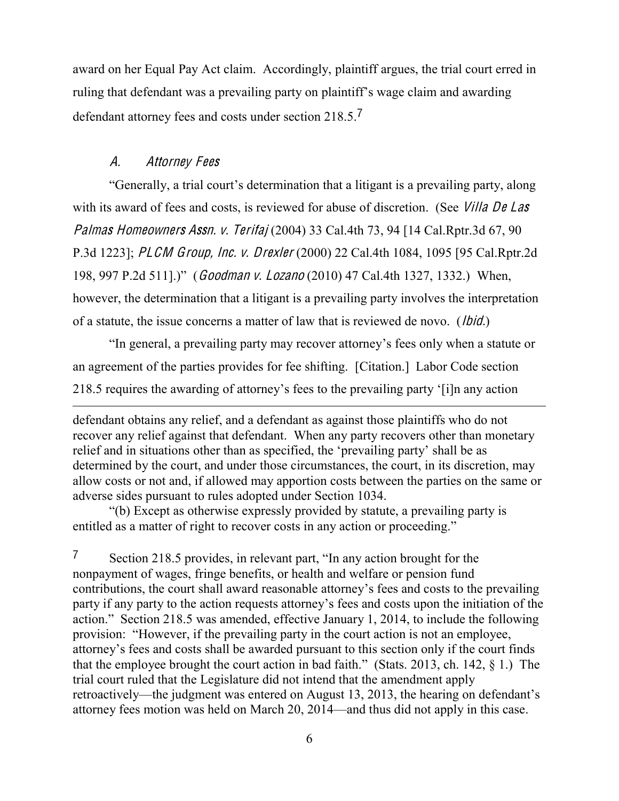award on her Equal Pay Act claim. Accordingly, plaintiff argues, the trial court erred in ruling that defendant was a prevailing party on plaintiff's wage claim and awarding defendant attorney fees and costs under section 218.5.<sup>7</sup>

# A. Attorney Fee<sup>s</sup>

"Generally, a trial court's determination that a litigant is a prevailing party, along with its award of fees and costs, is reviewed for abuse of discretion. (See *Villa De Las* Palma<sup>s</sup> Homeowner<sup>s</sup> Assn. <sup>v</sup>. Terifaj (2004) 33 Cal.4th 73, 94 [14 Cal.Rptr.3d 67, 90 P.3d 1223]; PLCM Group, Inc. <sup>v</sup>. Drexle<sup>r</sup> (2000) 22 Cal.4th 1084, 1095 [95 Cal.Rptr.2d 198, 997 P.2d 511].)" (Goodman v. Lozano (2010) 47 Cal.4th 1327, 1332.) When, however, the determination that a litigant is a prevailing party involves the interpretation of a statute, the issue concerns a matter of law that is reviewed de novo. (Ibid.)

In general, a prevailing party may recover attorney's fees only when a statute or an agreement of the parties provides for fee shifting. [Citation.] Labor Code section 218.5 requires the awarding of attorney's fees to the prevailing party '[i]n any action 

"(b) Except as otherwise expressly provided by statute, a prevailing party is entitled as a matter of right to recover costs in any action or proceeding."

 $7$  Section 218.5 provides, in relevant part, "In any action brought for the nonpayment of wages, fringe benefits, or health and welfare or pension fund contributions, the court shall award reasonable attorney's fees and costs to the prevailing party if any party to the action requests attorney's fees and costs upon the initiation of the action." Section 218.5 was amended, effective January 1, 2014, to include the following provision: "However, if the prevailing party in the court action is not an employee, attorney's fees and costs shall be awarded pursuant to this section only if the court finds that the employee brought the court action in bad faith.<sup> $\degree$ </sup> (Stats. 2013, ch. 142,  $\frac{1}{2}$ ) The trial court ruled that the Legislature did not intend that the amendment apply retroactively—the judgment was entered on August 13, 2013, the hearing on defendant's attorney fees motion was held on March 20, 2014—and thus did not apply in this case.

defendant obtains any relief, and a defendant as against those plaintiffs who do not recover any relief against that defendant. When any party recovers other than monetary relief and in situations other than as specified, the 'prevailing party' shall be as determined by the court, and under those circumstances, the court, in its discretion, may allow costs or not and, if allowed may apportion costs between the parties on the same or adverse sides pursuant to rules adopted under Section 1034.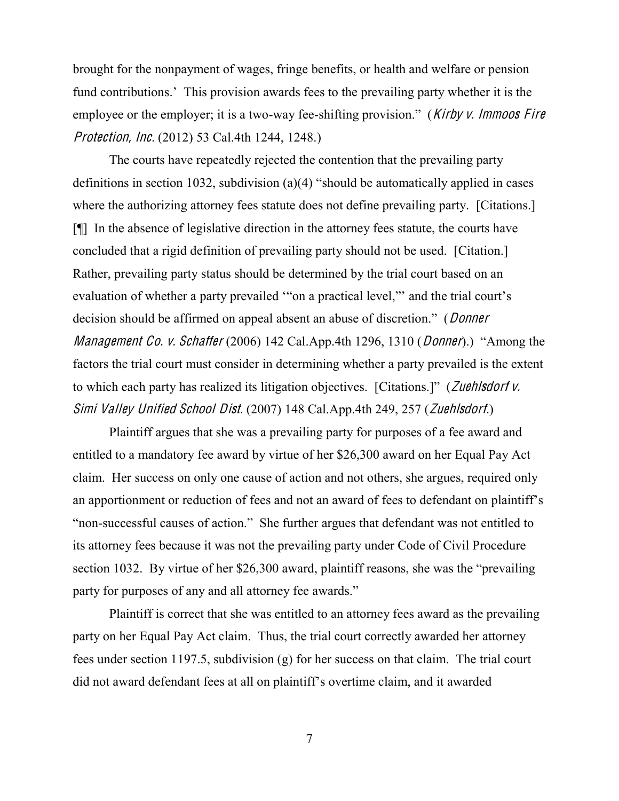brought for the nonpayment of wages, fringe benefits, or health and welfare or pension fund contributions.<sup>7</sup> This provision awards fees to the prevailing party whether it is the employee or the employer; it is a two-way fee-shifting provision." (*Kirby v. Immoos Fire* Protection, Inc. (2012) 53 Cal.4th 1244, 1248.)

The courts have repeatedly rejected the contention that the prevailing party definitions in section 1032, subdivision (a)(4) "should be automatically applied in cases where the authorizing attorney fees statute does not define prevailing party. [Citations.] [¶] In the absence of legislative direction in the attorney fees statute, the courts have concluded that a rigid definition of prevailing party should not be used. [Citation.] Rather, prevailing party status should be determined by the trial court based on an evaluation of whether a party prevailed "on a practical level," and the trial court's decision should be affirmed on appeal absent an abuse of discretion." (*Donner Management Co. v. Schaffer* (2006) 142 Cal.App.4th 1296, 1310 (*Donner*).) "Among the factors the trial court must consider in determining whether a party prevailed is the extent to which each party has realized its litigation objectives. [Citations.]" (Zuehlsdorf  $\nu$ . Simi Valley Unified School Dist. (2007) 148 Cal.App.4th 249, 257 (Zuehlsdorf.)

Plaintiff argues that she was a prevailing party for purposes of a fee award and entitled to a mandatory fee award by virtue of her \$26,300 award on her Equal Pay Act claim. Her success on only one cause of action and not others, she argues, required only an apportionment or reduction of fees and not an award of fees to defendant on plaintiff's "non-successful causes of action." She further argues that defendant was not entitled to its attorney fees because it was not the prevailing party under Code of Civil Procedure section 1032. By virtue of her  $$26,300$  award, plaintiff reasons, she was the "prevailing" party for purposes of any and all attorney fee awards."

Plaintiff is correct that she was entitled to an attorney fees award as the prevailing party on her Equal Pay Act claim. Thus, the trial court correctly awarded her attorney fees under section 1197.5, subdivision (g) for her success on that claim. The trial court did not award defendant fees at all on plaintiff's overtime claim, and it awarded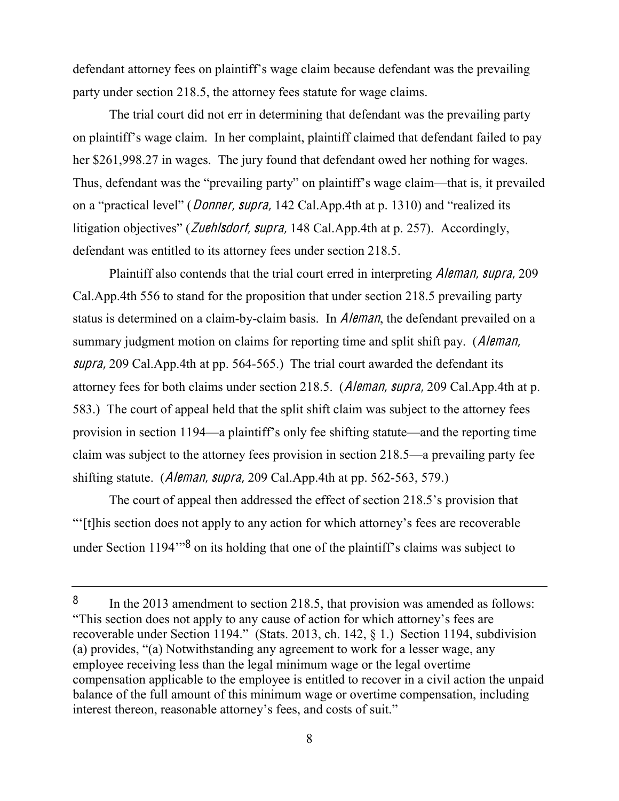defendant attorney fees on plaintiff's wage claim because defendant was the prevailing party under section 218.5, the attorney fees statute for wage claims.

The trial court did not err in determining that defendant was the prevailing party on plaintiff's wage claim. In her complaint, plaintiff claimed that defendant failed to pay her \$261,998.27 in wages. The jury found that defendant owed her nothing for wages. Thus, defendant was the "prevailing party" on plaintiff's wage claim—that is, it prevailed on a "practical level" (*Donner, supra*, 142 Cal.App.4th at p. 1310) and "realized its litigation objectives" (*Zuehlsdorf, supra*, 148 Cal.App.4th at p. 257). Accordingly, defendant was entitled to its attorney fees under section 218.5.

Plaintiff also contends that the trial court erred in interpreting Aleman, <sup>s</sup>upra, 209 Cal.App.4th 556 to stand for the proposition that under section 218.5 prevailing party status is determined on a claim-by-claim basis. In *Aleman*, the defendant prevailed on a summary judgment motion on claims for reporting time and split shift pay. (*Aleman*, supra, 209 Cal. App. 4th at pp. 564-565.) The trial court awarded the defendant its attorney fees for both claims under section 218.5. (Aleman, <sup>s</sup>upra, 209 Cal.App.4th at p. 583.) The court of appeal held that the split shift claim was subject to the attorney fees provision in section 1194—a plaintiff's only fee shifting statute—and the reporting time claim was subject to the attorney fees provision in section  $218.5$ —a prevailing party fee shifting statute. (Aleman, <sup>s</sup>upra, 209 Cal.App.4th at pp. 562-563, 579.)

The court of appeal then addressed the effect of section 218.5's provision that ³µ[t]his section does not apply to any action for which attorney¶s fees are recoverable under Section 1194 $\frac{80}{8}$  on its holding that one of the plaintiff's claims was subject to

<sup>&</sup>lt;sup>8</sup> In the 2013 amendment to section 218.5, that provision was amended as follows: "This section does not apply to any cause of action for which attorney's fees are recoverable under Section 1194." (Stats. 2013, ch. 142,  $\S$  1.) Section 1194, subdivision (a) provides, " $(a)$  Notwithstanding any agreement to work for a lesser wage, any employee receiving less than the legal minimum wage or the legal overtime compensation applicable to the employee is entitled to recover in a civil action the unpaid balance of the full amount of this minimum wage or overtime compensation, including interest thereon, reasonable attorney's fees, and costs of suit.<sup>"</sup>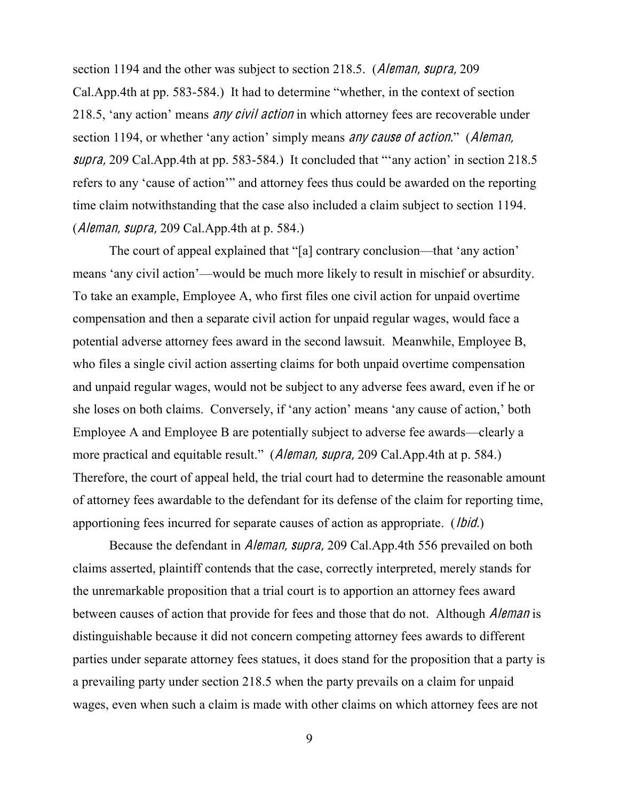section 1194 and the other was subject to section 218.5. (Aleman, supra, 209 Cal.App.4th at pp. 583-584.) It had to determine "whether, in the context of section 218.5, 'any action' means *any civil action* in which attorney fees are recoverable under section 1194, or whether 'any action' simply means *any cause of action.*<sup> $\cdot$ </sup> (*Aleman*, supra, 209 Cal.App.4th at pp. 583-584.) It concluded that "any action' in section 218.5 refers to any 'cause of action'" and attorney fees thus could be awarded on the reporting time claim notwithstanding that the case also included a claim subject to section 1194. (Aleman, <sup>s</sup>upra, 209 Cal.App.4th at p. 584.)

The court of appeal explained that "[a] contrary conclusion—that 'any action' means 'any civil action'—would be much more likely to result in mischief or absurdity. To take an example, Employee A, who first files one civil action for unpaid overtime compensation and then a separate civil action for unpaid regular wages, would face a potential adverse attorney fees award in the second lawsuit. Meanwhile, Employee B, who files a single civil action asserting claims for both unpaid overtime compensation and unpaid regular wages, would not be subject to any adverse fees award, even if he or she loses on both claims. Conversely, if 'any action' means 'any cause of action,' both Employee A and Employee B are potentially subject to adverse fee awards—clearly a more practical and equitable result." (*Aleman, supra,* 209 Cal.App.4th at p. 584.) Therefore, the court of appeal held, the trial court had to determine the reasonable amount of attorney fees awardable to the defendant for its defense of the claim for reporting time, apportioning fees incurred for separate causes of action as appropriate. (*Ibid.*)

Because the defendant in Aleman, <sup>s</sup>upra, 209 Cal.App.4th 556 prevailed on both claims asserted, plaintiff contends that the case, correctly interpreted, merely stands for the unremarkable proposition that a trial court is to apportion an attorney fees award between causes of action that provide for fees and those that do not. Although *Aleman* is distinguishable because it did not concern competing attorney fees awards to different parties under separate attorney fees statues, it does stand for the proposition that a party is a prevailing party under section 218.5 when the party prevails on a claim for unpaid wages, even when such a claim is made with other claims on which attorney fees are not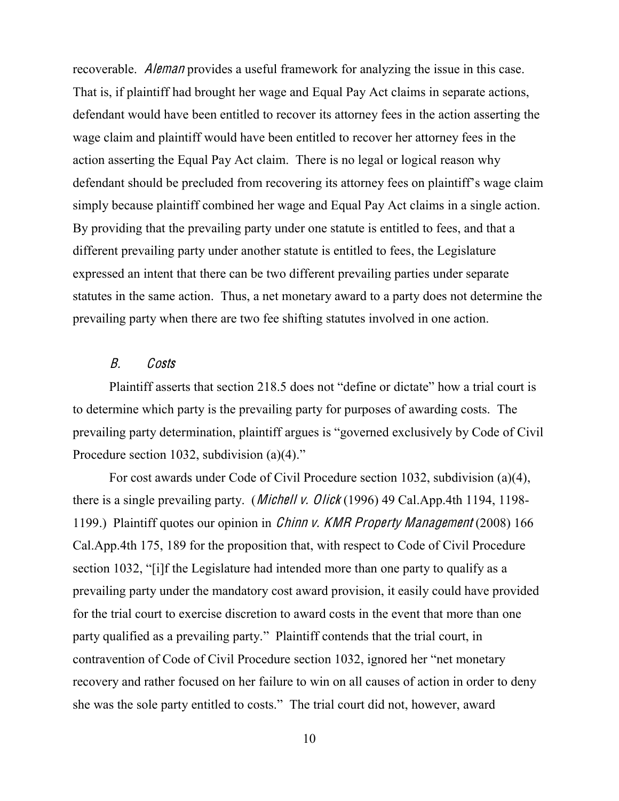recoverable. Aleman provides a useful framework for analyzing the issue in this case. That is, if plaintiff had brought her wage and Equal Pay Act claims in separate actions, defendant would have been entitled to recover its attorney fees in the action asserting the wage claim and plaintiff would have been entitled to recover her attorney fees in the action asserting the Equal Pay Act claim. There is no legal or logical reason why defendant should be precluded from recovering its attorney fees on plaintiff's wage claim simply because plaintiff combined her wage and Equal Pay Act claims in a single action. By providing that the prevailing party under one statute is entitled to fees, and that a different prevailing party under another statute is entitled to fees, the Legislature expressed an intent that there can be two different prevailing parties under separate statutes in the same action. Thus, a net monetary award to a party does not determine the prevailing party when there are two fee shifting statutes involved in one action.

# B. Costs

Plaintiff asserts that section 218.5 does not "define or dictate" how a trial court is to determine which party is the prevailing party for purposes of awarding costs. The prevailing party determination, plaintiff argues is "governed exclusively by Code of Civil Procedure section 1032, subdivision (a) $(4)$ ."

For cost awards under Code of Civil Procedure section 1032, subdivision (a)(4), there is a single prevailing party. (Michell <sup>v</sup>. Olick (1996) 49 Cal.App.4th 1194, 1198- 1199.) Plaintiff quotes our opinion in Chinn <sup>v</sup>. KMR Prop<sup>e</sup>rty Manag<sup>e</sup>men<sup>t</sup> (2008) 166 Cal.App.4th 175, 189 for the proposition that, with respect to Code of Civil Procedure section 1032, "[i]f the Legislature had intended more than one party to qualify as a prevailing party under the mandatory cost award provision, it easily could have provided for the trial court to exercise discretion to award costs in the event that more than one party qualified as a prevailing party." Plaintiff contends that the trial court, in contravention of Code of Civil Procedure section 1032, ignored her "net monetary recovery and rather focused on her failure to win on all causes of action in order to deny she was the sole party entitled to costs." The trial court did not, however, award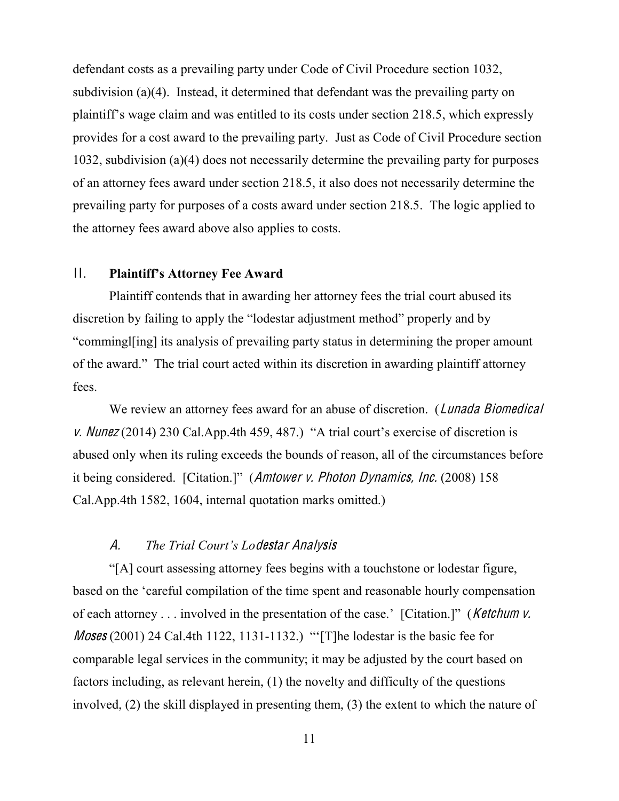defendant costs as a prevailing party under Code of Civil Procedure section 1032, subdivision (a)(4). Instead, it determined that defendant was the prevailing party on plaintiff's wage claim and was entitled to its costs under section 218.5, which expressly provides for a cost award to the prevailing party. Just as Code of Civil Procedure section 1032, subdivision (a)(4) does not necessarily determine the prevailing party for purposes of an attorney fees award under section 218.5, it also does not necessarily determine the prevailing party for purposes of a costs award under section 218.5. The logic applied to the attorney fees award above also applies to costs.

# **11. Plaintiff's Attorney Fee Award**

Plaintiff contends that in awarding her attorney fees the trial court abused its discretion by failing to apply the "lodestar adjustment method" properly and by "commingleting its analysis of prevailing party status in determining the proper amount of the award." The trial court acted within its discretion in awarding plaintiff attorney fees.

We review an attorney fees award for an abuse of discretion. (*Lunada Biomedical* v. Nunez (2014) 230 Cal.App.4th 459, 487.) "A trial court's exercise of discretion is abused only when its ruling exceeds the bounds of reason, all of the circumstances before it being considered. [Citation.]" (*Amtower v. Photon Dynamics, Inc.* (2008) 158 Cal.App.4th 1582, 1604, internal quotation marks omitted.)

### A. The Trial Court's Lodestar Analysis

"[A] court assessing attorney fees begins with a touchstone or lodestar figure, based on the 'careful compilation of the time spent and reasonable hourly compensation of each attorney . . . involved in the presentation of the case.' [Citation.]" (Ketchum v. *Moses* (2001) 24 Cal.4th 1122, 1131-1132.) "The lodestar is the basic fee for comparable legal services in the community; it may be adjusted by the court based on factors including, as relevant herein, (1) the novelty and difficulty of the questions involved, (2) the skill displayed in presenting them, (3) the extent to which the nature of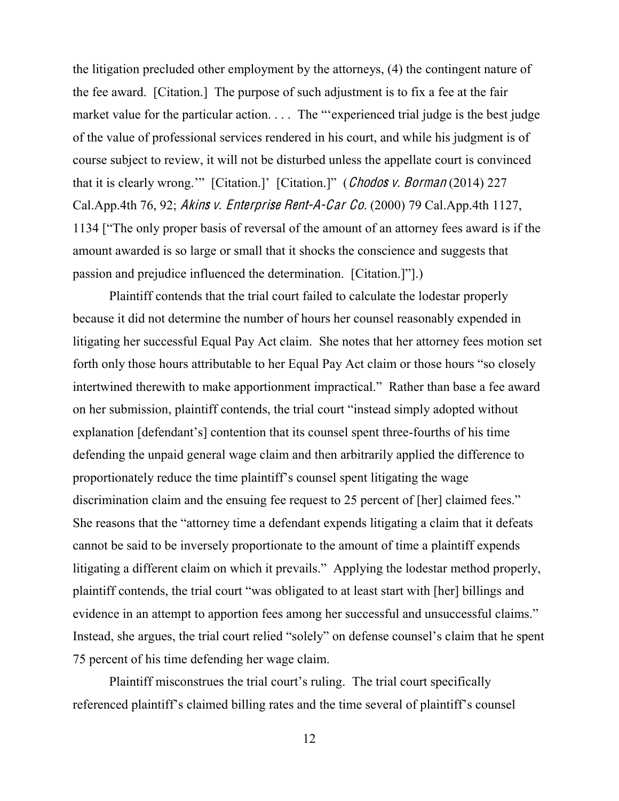the litigation precluded other employment by the attorneys, (4) the contingent nature of the fee award. [Citation.] The purpose of such adjustment is to fix a fee at the fair market value for the particular action.  $\ldots$  The "experienced trial judge is the best judge of the value of professional services rendered in his court, and while his judgment is of course subject to review, it will not be disturbed unless the appellate court is convinced that it is clearly wrong."" [Citation.]" [Citation.]" (Chodos v. Borman (2014) 227 Cal.App.4th 76, 92; Akin<sup>s</sup> <sup>v</sup>. Enterpri<sup>s</sup><sup>e</sup> Rent-A-Car Co. (2000) 79 Cal.App.4th 1127, 1134 ["The only proper basis of reversal of the amount of an attorney fees award is if the amount awarded is so large or small that it shocks the conscience and suggests that passion and prejudice influenced the determination.  $[Citation.]$ <sup>"</sup>.)

Plaintiff contends that the trial court failed to calculate the lodestar properly because it did not determine the number of hours her counsel reasonably expended in litigating her successful Equal Pay Act claim. She notes that her attorney fees motion set forth only those hours attributable to her Equal Pay Act claim or those hours "so closely intertwined therewith to make apportionment impractical." Rather than base a fee award on her submission, plaintiff contends, the trial court "instead simply adopted without explanation [defendant's] contention that its counsel spent three-fourths of his time defending the unpaid general wage claim and then arbitrarily applied the difference to proportionately reduce the time plaintiff's counsel spent litigating the wage discrimination claim and the ensuing fee request to 25 percent of [her] claimed fees." She reasons that the "attorney time a defendant expends litigating a claim that it defeats cannot be said to be inversely proportionate to the amount of time a plaintiff expends litigating a different claim on which it prevails." Applying the lodestar method properly, plaintiff contends, the trial court "was obligated to at least start with [her] billings and evidence in an attempt to apportion fees among her successful and unsuccessful claims." Instead, she argues, the trial court relied "solely" on defense counsel's claim that he spent 75 percent of his time defending her wage claim.

Plaintiff misconstrues the trial court's ruling. The trial court specifically referenced plaintiff's claimed billing rates and the time several of plaintiff's counsel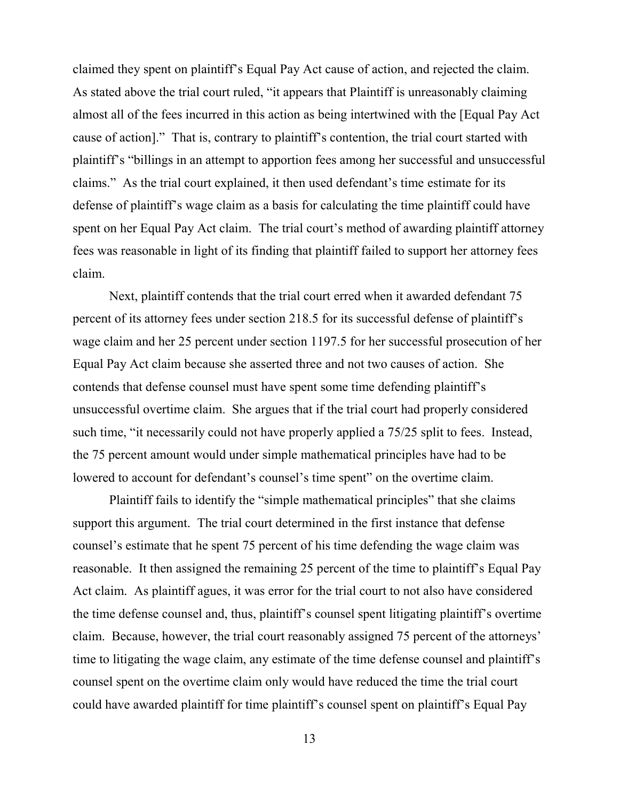claimed they spent on plaintiff's Equal Pay Act cause of action, and rejected the claim. As stated above the trial court ruled, "it appears that Plaintiff is unreasonably claiming almost all of the fees incurred in this action as being intertwined with the [Equal Pay Act cause of action]." That is, contrary to plaintiff's contention, the trial court started with plaintiff's "billings in an attempt to apportion fees among her successful and unsuccessful claims." As the trial court explained, it then used defendant's time estimate for its defense of plaintiff's wage claim as a basis for calculating the time plaintiff could have spent on her Equal Pay Act claim. The trial court's method of awarding plaintiff attorney fees was reasonable in light of its finding that plaintiff failed to support her attorney fees claim.

Next, plaintiff contends that the trial court erred when it awarded defendant 75 percent of its attorney fees under section 218.5 for its successful defense of plaintiff's wage claim and her 25 percent under section 1197.5 for her successful prosecution of her Equal Pay Act claim because she asserted three and not two causes of action. She contends that defense counsel must have spent some time defending plaintiff's unsuccessful overtime claim. She argues that if the trial court had properly considered such time, "it necessarily could not have properly applied a  $75/25$  split to fees. Instead, the 75 percent amount would under simple mathematical principles have had to be lowered to account for defendant's counsel's time spent" on the overtime claim.

Plaintiff fails to identify the "simple mathematical principles" that she claims support this argument. The trial court determined in the first instance that defense counsel's estimate that he spent 75 percent of his time defending the wage claim was reasonable. It then assigned the remaining 25 percent of the time to plaintiff's Equal Pay Act claim. As plaintiff agues, it was error for the trial court to not also have considered the time defense counsel and, thus, plaintiff's counsel spent litigating plaintiff's overtime claim. Because, however, the trial court reasonably assigned 75 percent of the attorneys' time to litigating the wage claim, any estimate of the time defense counsel and plaintiff's counsel spent on the overtime claim only would have reduced the time the trial court could have awarded plaintiff for time plaintiff's counsel spent on plaintiff's Equal Pay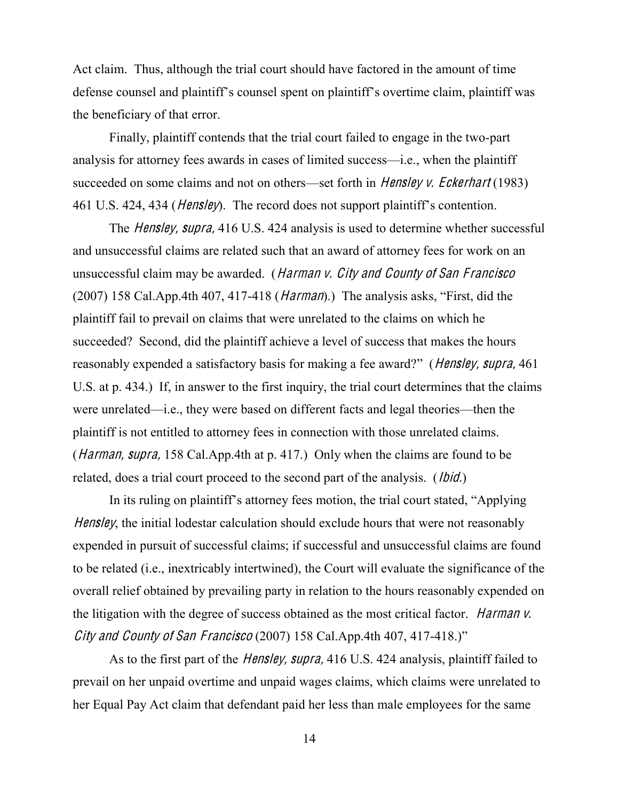Act claim. Thus, although the trial court should have factored in the amount of time defense counsel and plaintiff's counsel spent on plaintiff's overtime claim, plaintiff was the beneficiary of that error.

Finally, plaintiff contends that the trial court failed to engage in the two-part analysis for attorney fees awards in cases of limited success—i.e., when the plaintiff succeeded on some claims and not on others—set forth in *Hensley v. Eckerhart* (1983) 461 U.S. 424, 434 (*Hensley*). The record does not support plaintiff's contention.

The *Hensley, supra,* 416 U.S. 424 analysis is used to determine whether successful and unsuccessful claims are related such that an award of attorney fees for work on an unsuccessful claim may be awarded. (Harman v. City and County of San Francisco (2007) 158 Cal.App.4th 407, 417-418 ( $Harman$ ).) The analysis asks, "First, did the plaintiff fail to prevail on claims that were unrelated to the claims on which he succeeded? Second, did the plaintiff achieve a level of success that makes the hours reasonably expended a satisfactory basis for making a fee award?" (*Hensley, supra,* 461) U.S. at p. 434.) If, in answer to the first inquiry, the trial court determines that the claims were unrelated—i.e., they were based on different facts and legal theories—then the plaintiff is not entitled to attorney fees in connection with those unrelated claims. (*Harman, supra,* 158 Cal.App.4th at p. 417.) Only when the claims are found to be related, does a trial court proceed to the second part of the analysis. (*Ibid.*)

In its ruling on plaintiff's attorney fees motion, the trial court stated, "Applying Hensley, the initial lodestar calculation should exclude hours that were not reasonably expended in pursuit of successful claims; if successful and unsuccessful claims are found to be related (i.e., inextricably intertwined), the Court will evaluate the significance of the overall relief obtained by prevailing party in relation to the hours reasonably expended on the litigation with the degree of success obtained as the most critical factor. *Harman v.* City and County of San Francisco (2007) 158 Cal. App. 4th 407, 417-418.)"

As to the first part of the *Hensley, supra*, 416 U.S. 424 analysis, plaintiff failed to prevail on her unpaid overtime and unpaid wages claims, which claims were unrelated to her Equal Pay Act claim that defendant paid her less than male employees for the same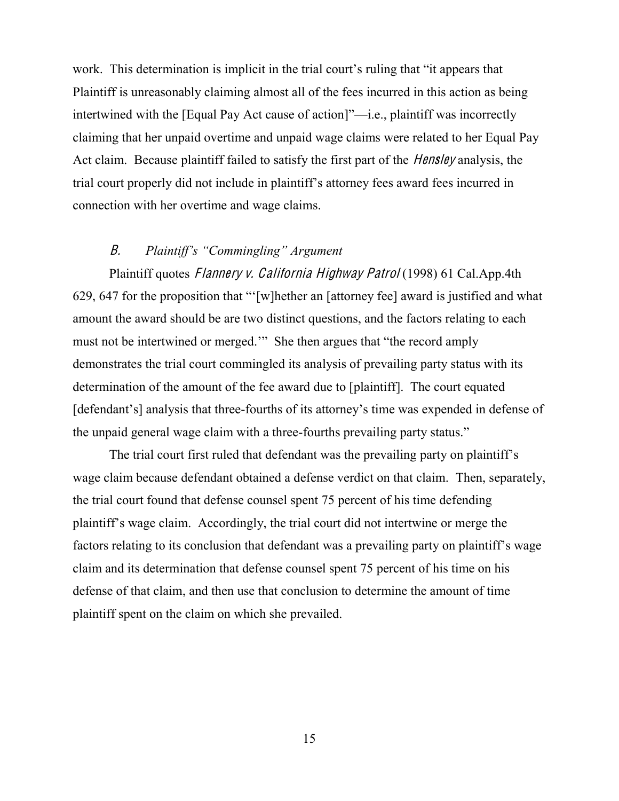work. This determination is implicit in the trial court's ruling that "it appears that Plaintiff is unreasonably claiming almost all of the fees incurred in this action as being intertwined with the [Equal Pay Act cause of action]"—i.e., plaintiff was incorrectly claiming that her unpaid overtime and unpaid wage claims were related to her Equal Pay Act claim. Because plaintiff failed to satisfy the first part of the *Hensley* analysis, the trial court properly did not include in plaintiff's attorney fees award fees incurred in connection with her overtime and wage claims.

# B. Plaintiff's "Commingling" Argument

Plaintiff quotes *Flannery v. California Highway Patrol* (1998) 61 Cal.App.4th 629, 647 for the proposition that " $[w]$ hether an [attorney fee] award is justified and what amount the award should be are two distinct questions, and the factors relating to each must not be intertwined or merged." She then argues that "the record amply demonstrates the trial court commingled its analysis of prevailing party status with its determination of the amount of the fee award due to [plaintiff]. The court equated [defendant's] analysis that three-fourths of its attorney's time was expended in defense of the unpaid general wage claim with a three-fourths prevailing party status."

The trial court first ruled that defendant was the prevailing party on plaintiff's wage claim because defendant obtained a defense verdict on that claim. Then, separately, the trial court found that defense counsel spent 75 percent of his time defending plaintiff's wage claim. Accordingly, the trial court did not intertwine or merge the factors relating to its conclusion that defendant was a prevailing party on plaintiff's wage claim and its determination that defense counsel spent 75 percent of his time on his defense of that claim, and then use that conclusion to determine the amount of time plaintiff spent on the claim on which she prevailed.